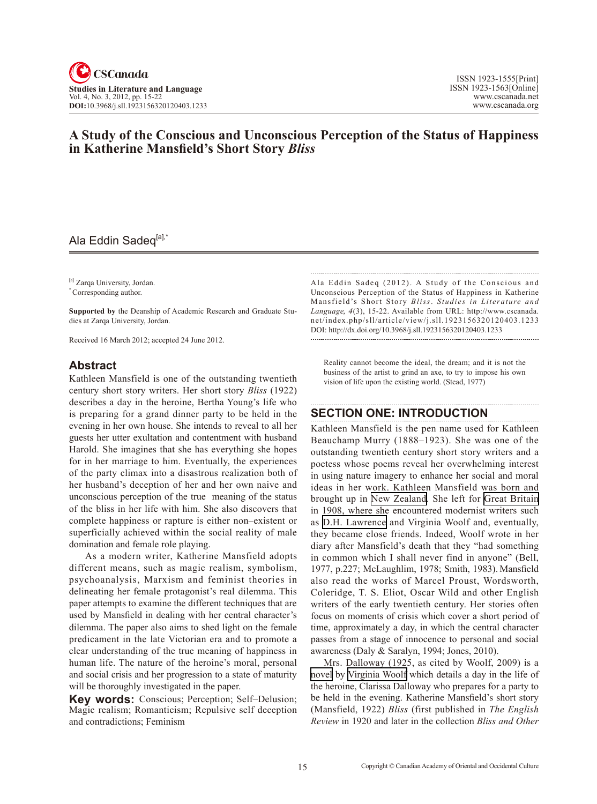

# **A Study of the Conscious and Unconscious Perception of the Status of Happiness in Katherine Mansfield's Short Story** *Bliss*

# Ala Eddin Sadeq<sup>[a],\*</sup>

[a] Zarqa University, Jordan.

\* Corresponding author.

**Supported by** the Deanship of Academic Research and Graduate Studies at Zarqa University, Jordan.

Received 16 March 2012; accepted 24 June 2012.

#### **Abstract**

Kathleen Mansfield is one of the outstanding twentieth century short story writers. Her short story *Bliss* (1922) describes a day in the heroine, Bertha Young's life who is preparing for a grand dinner party to be held in the evening in her own house. She intends to reveal to all her guests her utter exultation and contentment with husband Harold. She imagines that she has everything she hopes for in her marriage to him. Eventually, the experiences of the party climax into a disastrous realization both of her husband's deception of her and her own naive and unconscious perception of the true meaning of the status of the bliss in her life with him. She also discovers that complete happiness or rapture is either non–existent or superficially achieved within the social reality of male domination and female role playing.

 As a modern writer, Katherine Mansfield adopts different means, such as magic realism, symbolism, psychoanalysis, Marxism and feminist theories in delineating her female protagonist's real dilemma. This paper attempts to examine the different techniques that are used by Mansfield in dealing with her central character's dilemma. The paper also aims to shed light on the female predicament in the late Victorian era and to promote a clear understanding of the true meaning of happiness in human life. The nature of the heroine's moral, personal and social crisis and her progression to a state of maturity will be thoroughly investigated in the paper.

**Key words:** Conscious; Perception; Self–Delusion; Magic realism; Romanticism; Repulsive self deception and contradictions; Feminism

Ala Eddin Sadeq (2012). A Study of the Conscious and Unconscious Perception of the Status of Happiness in Katherine Mansfield's Short Story *Bliss*. *Studies in Literature and Language*, <sup>4</sup>(3), 15-22. Available from URL: http://www.cscanada. net/index.php/sll/article/view/j.sll.1923156320120403.1233 DOI: http://dx.doi.org/10.3968/j.sll.1923156320120403.1233 

Reality cannot become the ideal, the dream; and it is not the business of the artist to grind an axe, to try to impose his own vision of life upon the existing world. (Stead, 1977)

## **Section One: Introduction**

Kathleen Mansfield is the pen name used for Kathleen Beauchamp Murry (1888–1923). She was one of the outstanding twentieth century short story writers and a poetess whose poems reveal her overwhelming interest in using nature imagery to enhance her social and moral ideas in her work. Kathleen Mansfield was born and brought up in [New Zealand.](http://en.wikipedia.org/wiki/New_Zealand) She left for [Great Britain](http://en.wikipedia.org/wiki/Great_Britain) in 1908, where she encountered modernist writers such as [D.H. Lawrence](http://en.wikipedia.org/wiki/D.H._Lawrence) and Virginia Woolf and, eventually, they became close friends. Indeed, Woolf wrote in her diary after Mansfield's death that they "had something in common which I shall never find in anyone" (Bell, 1977, p.227; McLaughlim, 1978; Smith, 1983). Mansfield also read the works of Marcel Proust, Wordsworth, Coleridge, T. S. Eliot, Oscar Wild and other English writers of the early twentieth century. Her stories often focus on moments of crisis which cover a short period of time, approximately a day, in which the central character passes from a stage of innocence to personal and social awareness (Daly & Saralyn, 1994; Jones, 2010).

Mrs. Dalloway (1925, as cited by Woolf, 2009) is a [novel](http://en.wikipedia.org/wiki/Novel) by [Virginia Woolf](http://en.wikipedia.org/wiki/Virginia_Woolf) which details a day in the life of the heroine, Clarissa Dalloway who prepares for a party to be held in the evening. Katherine Mansfield's short story (Mansfield, 1922) *Bliss* (first published in *The English Review* in 1920 and later in the collection *Bliss and Other*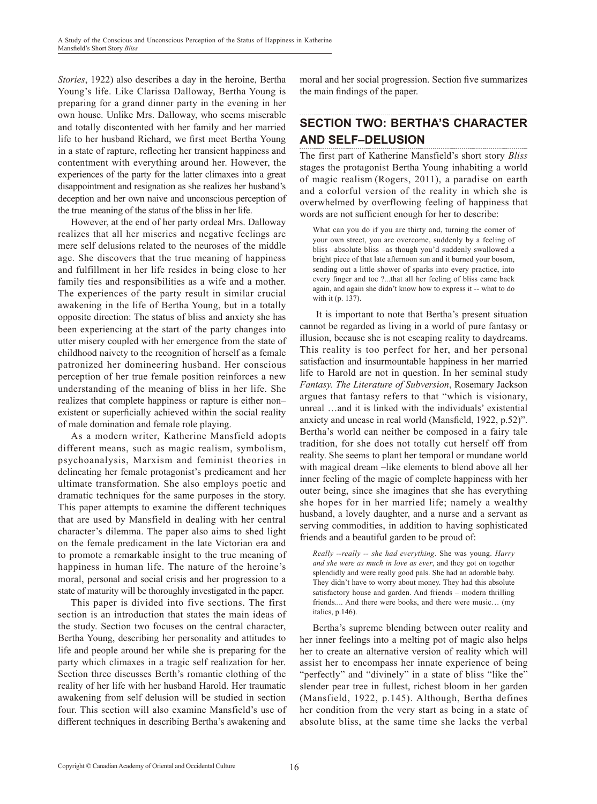*Stories*, 1922) also describes a day in the heroine, Bertha Young's life. Like Clarissa Dalloway, Bertha Young is preparing for a grand dinner party in the evening in her own house. Unlike Mrs. Dalloway, who seems miserable and totally discontented with her family and her married life to her husband Richard, we first meet Bertha Young in a state of rapture, reflecting her transient happiness and contentment with everything around her. However, the experiences of the party for the latter climaxes into a great disappointment and resignation as she realizes her husband's deception and her own naive and unconscious perception of the true meaning of the status of the bliss in her life.

However, at the end of her party ordeal Mrs. Dalloway realizes that all her miseries and negative feelings are mere self delusions related to the neuroses of the middle age. She discovers that the true meaning of happiness and fulfillment in her life resides in being close to her family ties and responsibilities as a wife and a mother. The experiences of the party result in similar crucial awakening in the life of Bertha Young, but in a totally opposite direction: The status of bliss and anxiety she has been experiencing at the start of the party changes into utter misery coupled with her emergence from the state of childhood naivety to the recognition of herself as a female patronized her domineering husband. Her conscious perception of her true female position reinforces a new understanding of the meaning of bliss in her life. She realizes that complete happiness or rapture is either non– existent or superficially achieved within the social reality of male domination and female role playing.

As a modern writer, Katherine Mansfield adopts different means, such as magic realism, symbolism, psychoanalysis, Marxism and feminist theories in delineating her female protagonist's predicament and her ultimate transformation. She also employs poetic and dramatic techniques for the same purposes in the story. This paper attempts to examine the different techniques that are used by Mansfield in dealing with her central character's dilemma. The paper also aims to shed light on the female predicament in the late Victorian era and to promote a remarkable insight to the true meaning of happiness in human life. The nature of the heroine's moral, personal and social crisis and her progression to a state of maturity will be thoroughly investigated in the paper.

This paper is divided into five sections. The first section is an introduction that states the main ideas of the study. Section two focuses on the central character, Bertha Young, describing her personality and attitudes to life and people around her while she is preparing for the party which climaxes in a tragic self realization for her. Section three discusses Berth's romantic clothing of the reality of her life with her husband Harold. Her traumatic awakening from self delusion will be studied in section four. This section will also examine Mansfield's use of different techniques in describing Bertha's awakening and

moral and her social progression. Section five summarizes the main findings of the paper.

#### **Section Two: Bertha's Character and Self–Delusion**

The first part of Katherine Mansfield's short story *Bliss* stages the protagonist Bertha Young inhabiting a world of magic realism (Rogers, 2011), a paradise on earth and a colorful version of the reality in which she is overwhelmed by overflowing feeling of happiness that words are not sufficient enough for her to describe:

What can you do if you are thirty and, turning the corner of your own street, you are overcome, suddenly by a feeling of bliss –absolute bliss –as though you'd suddenly swallowed a bright piece of that late afternoon sun and it burned your bosom, sending out a little shower of sparks into every practice, into every finger and toe ?...that all her feeling of bliss came back again, and again she didn't know how to express it -- what to do with it (p. 137).

 It is important to note that Bertha's present situation cannot be regarded as living in a world of pure fantasy or illusion, because she is not escaping reality to daydreams. This reality is too perfect for her, and her personal satisfaction and insurmountable happiness in her married life to Harold are not in question. In her seminal study *Fantasy. The Literature of Subversion*, Rosemary Jackson argues that fantasy refers to that "which is visionary, unreal …and it is linked with the individuals' existential anxiety and unease in real world (Mansfield, 1922, p.52)". Bertha's world can neither be composed in a fairy tale tradition, for she does not totally cut herself off from reality. She seems to plant her temporal or mundane world with magical dream –like elements to blend above all her inner feeling of the magic of complete happiness with her outer being, since she imagines that she has everything she hopes for in her married life; namely a wealthy husband, a lovely daughter, and a nurse and a servant as serving commodities, in addition to having sophisticated friends and a beautiful garden to be proud of:

*Really --really -- she had everything*. She was young. *Harry and she were as much in love as ever*, and they got on together splendidly and were really good pals. She had an adorable baby. They didn't have to worry about money. They had this absolute satisfactory house and garden. And friends – modern thrilling friends.... And there were books, and there were music… (my italics, p.146).

Bertha's supreme blending between outer reality and her inner feelings into a melting pot of magic also helps her to create an alternative version of reality which will assist her to encompass her innate experience of being "perfectly" and "divinely" in a state of bliss "like the" slender pear tree in fullest, richest bloom in her garden (Mansfield, 1922, p.145). Although, Bertha defines her condition from the very start as being in a state of absolute bliss, at the same time she lacks the verbal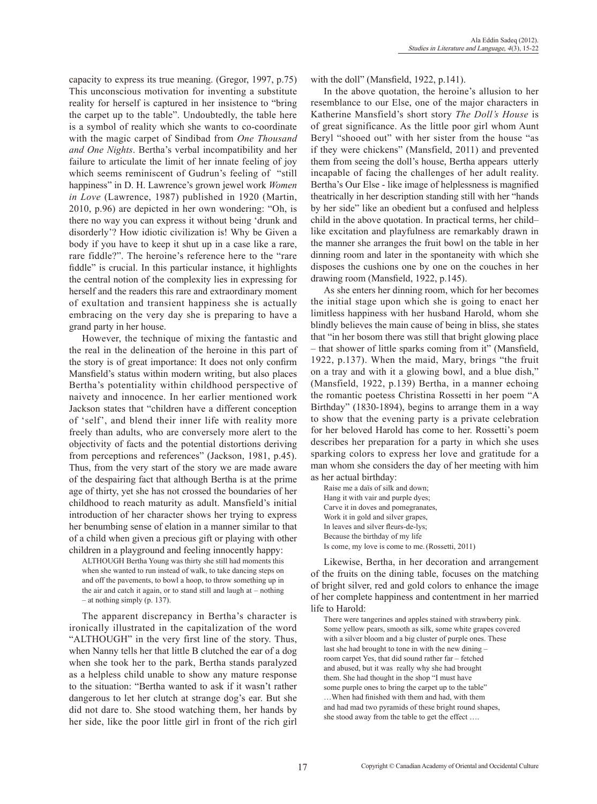capacity to express its true meaning. (Gregor, 1997, p.75) This unconscious motivation for inventing a substitute reality for herself is captured in her insistence to "bring the carpet up to the table". Undoubtedly, the table here is a symbol of reality which she wants to co-coordinate with the magic carpet of Sindibad from *One Thousand and One Nights*. Bertha's verbal incompatibility and her failure to articulate the limit of her innate feeling of joy which seems reminiscent of Gudrun's feeling of "still happiness" in D. H. Lawrence's grown jewel work *Women in Love* (Lawrence, 1987) published in 1920 (Martin, 2010, p.96) are depicted in her own wondering: "Oh, is there no way you can express it without being 'drunk and disorderly'? How idiotic civilization is! Why be Given a body if you have to keep it shut up in a case like a rare, rare fiddle?". The heroine's reference here to the "rare fiddle" is crucial. In this particular instance, it highlights the central notion of the complexity lies in expressing for herself and the readers this rare and extraordinary moment of exultation and transient happiness she is actually embracing on the very day she is preparing to have a grand party in her house.

However, the technique of mixing the fantastic and the real in the delineation of the heroine in this part of the story is of great importance: It does not only confirm Mansfield's status within modern writing, but also places Bertha's potentiality within childhood perspective of naivety and innocence. In her earlier mentioned work Jackson states that "children have a different conception of 'self', and blend their inner life with reality more freely than adults, who are conversely more alert to the objectivity of facts and the potential distortions deriving from perceptions and references" (Jackson, 1981, p.45). Thus, from the very start of the story we are made aware of the despairing fact that although Bertha is at the prime age of thirty, yet she has not crossed the boundaries of her childhood to reach maturity as adult. Mansfield's initial introduction of her character shows her trying to express her benumbing sense of elation in a manner similar to that of a child when given a precious gift or playing with other children in a playground and feeling innocently happy:

ALTHOUGH Bertha Young was thirty she still had moments this when she wanted to run instead of walk, to take dancing steps on and off the pavements, to bowl a hoop, to throw something up in the air and catch it again, or to stand still and laugh at – nothing – at nothing simply (p. 137).

The apparent discrepancy in Bertha's character is ironically illustrated in the capitalization of the word "ALTHOUGH" in the very first line of the story. Thus, when Nanny tells her that little B clutched the ear of a dog when she took her to the park, Bertha stands paralyzed as a helpless child unable to show any mature response to the situation: "Bertha wanted to ask if it wasn't rather dangerous to let her clutch at strange dog's ear. But she did not dare to. She stood watching them, her hands by her side, like the poor little girl in front of the rich girl with the doll" (Mansfield, 1922, p.141).

In the above quotation, the heroine's allusion to her resemblance to our Else, one of the major characters in Katherine Mansfield's short story *The Doll's House* is of great significance. As the little poor girl whom Aunt Beryl "shooed out" with her sister from the house "as if they were chickens" (Mansfield, 2011) and prevented them from seeing the doll's house, Bertha appears utterly incapable of facing the challenges of her adult reality. Bertha's Our Else - like image of helplessness is magnified theatrically in her description standing still with her "hands by her side" like an obedient but a confused and helpless child in the above quotation. In practical terms, her child– like excitation and playfulness are remarkably drawn in the manner she arranges the fruit bowl on the table in her dinning room and later in the spontaneity with which she disposes the cushions one by one on the couches in her drawing room (Mansfield, 1922, p.145).

As she enters her dinning room, which for her becomes the initial stage upon which she is going to enact her limitless happiness with her husband Harold, whom she blindly believes the main cause of being in bliss, she states that "in her bosom there was still that bright glowing place – that shower of little sparks coming from it" (Mansfield, 1922, p.137). When the maid, Mary, brings "the fruit on a tray and with it a glowing bowl, and a blue dish," (Mansfield, 1922, p.139) Bertha, in a manner echoing the romantic poetess Christina Rossetti in her poem "A Birthday" (1830-1894), begins to arrange them in a way to show that the evening party is a private celebration for her beloved Harold has come to her. Rossetti's poem describes her preparation for a party in which she uses sparking colors to express her love and gratitude for a man whom she considers the day of her meeting with him as her actual birthday:

Raise me a daïs of silk and down; Hang it with vair and purple dyes; Carve it in doves and pomegranates, Work it in gold and silver grapes, In leaves and silver fleurs-de-lys; Because the birthday of my life Is come, my love is come to me.(Rossetti, 2011)

Likewise, Bertha, in her decoration and arrangement of the fruits on the dining table, focuses on the matching of bright silver, red and gold colors to enhance the image of her complete happiness and contentment in her married life to Harold:

There were tangerines and apples stained with strawberry pink. Some yellow pears, smooth as silk, some white grapes covered with a silver bloom and a big cluster of purple ones. These last she had brought to tone in with the new dining – room carpet Yes, that did sound rather far – fetched and abused, but it was really why she had brought them. She had thought in the shop "I must have some purple ones to bring the carpet up to the table" …When had finished with them and had, with them and had mad two pyramids of these bright round shapes, she stood away from the table to get the effect ….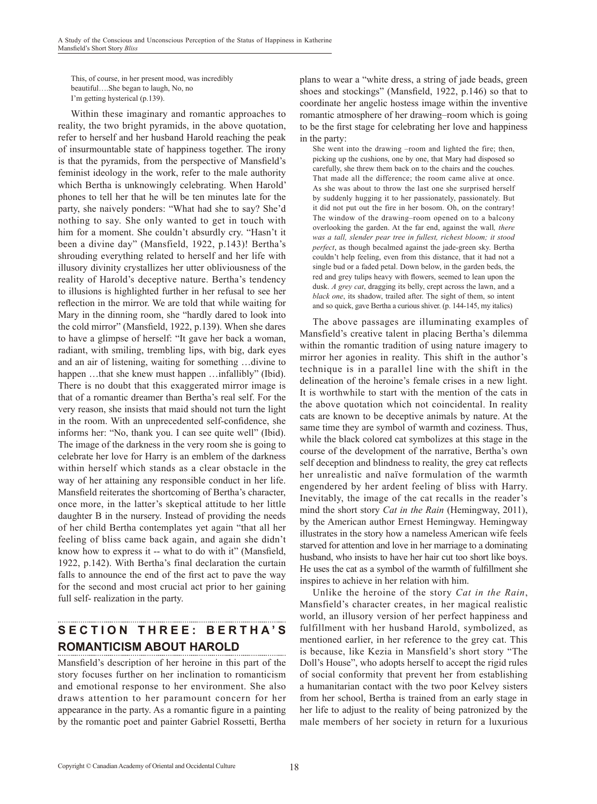This, of course, in her present mood, was incredibly beautiful….She began to laugh, No, no I'm getting hysterical (p.139).

Within these imaginary and romantic approaches to reality, the two bright pyramids, in the above quotation, refer to herself and her husband Harold reaching the peak of insurmountable state of happiness together. The irony is that the pyramids, from the perspective of Mansfield's feminist ideology in the work, refer to the male authority which Bertha is unknowingly celebrating. When Harold' phones to tell her that he will be ten minutes late for the party, she naively ponders: "What had she to say? She'd nothing to say. She only wanted to get in touch with him for a moment. She couldn't absurdly cry. "Hasn't it been a divine day" (Mansfield, 1922, p.143)! Bertha's shrouding everything related to herself and her life with illusory divinity crystallizes her utter obliviousness of the reality of Harold's deceptive nature. Bertha's tendency to illusions is highlighted further in her refusal to see her reflection in the mirror. We are told that while waiting for Mary in the dinning room, she "hardly dared to look into the cold mirror" (Mansfield, 1922, p.139). When she dares to have a glimpse of herself: "It gave her back a woman, radiant, with smiling, trembling lips, with big, dark eyes and an air of listening, waiting for something …divine to happen ...that she knew must happen ...infallibly" (Ibid). There is no doubt that this exaggerated mirror image is that of a romantic dreamer than Bertha's real self. For the very reason, she insists that maid should not turn the light in the room. With an unprecedented self-confidence, she informs her: "No, thank you. I can see quite well" (Ibid). The image of the darkness in the very room she is going to celebrate her love for Harry is an emblem of the darkness within herself which stands as a clear obstacle in the way of her attaining any responsible conduct in her life. Mansfield reiterates the shortcoming of Bertha's character, once more, in the latter's skeptical attitude to her little daughter B in the nursery. Instead of providing the needs of her child Bertha contemplates yet again "that all her feeling of bliss came back again, and again she didn't know how to express it -- what to do with it" (Mansfield, 1922, p.142). With Bertha's final declaration the curtain falls to announce the end of the first act to pave the way for the second and most crucial act prior to her gaining full self- realization in the party.

# **Section T hree: Berth a ' s Romanticism about Harold**

Mansfield's description of her heroine in this part of the story focuses further on her inclination to romanticism and emotional response to her environment. She also draws attention to her paramount concern for her appearance in the party. As a romantic figure in a painting by the romantic poet and painter Gabriel Rossetti, Bertha plans to wear a "white dress, a string of jade beads, green shoes and stockings" (Mansfield, 1922, p.146) so that to coordinate her angelic hostess image within the inventive romantic atmosphere of her drawing–room which is going to be the first stage for celebrating her love and happiness in the party:

She went into the drawing –room and lighted the fire; then, picking up the cushions, one by one, that Mary had disposed so carefully, she threw them back on to the chairs and the couches. That made all the difference; the room came alive at once. As she was about to throw the last one she surprised herself by suddenly hugging it to her passionately, passionately. But it did not put out the fire in her bosom. Oh, on the contrary! The window of the drawing–room opened on to a balcony overlooking the garden. At the far end, against the wall*, there was a tall, slender pear tree in fullest, richest bloom; it stood perfect*, as though becalmed against the jade-green sky. Bertha couldn't help feeling, even from this distance, that it had not a single bud or a faded petal. Down below, in the garden beds, the red and grey tulips heavy with flowers, seemed to lean upon the dusk. *A grey cat*, dragging its belly, crept across the lawn, and a *black one*, its shadow, trailed after. The sight of them, so intent and so quick, gave Bertha a curious shiver. (p. 144-145, my italics)

The above passages are illuminating examples of Mansfield's creative talent in placing Bertha's dilemma within the romantic tradition of using nature imagery to mirror her agonies in reality. This shift in the author's technique is in a parallel line with the shift in the delineation of the heroine's female crises in a new light. It is worthwhile to start with the mention of the cats in the above quotation which not coincidental. In reality cats are known to be deceptive animals by nature. At the same time they are symbol of warmth and coziness. Thus, while the black colored cat symbolizes at this stage in the course of the development of the narrative, Bertha's own self deception and blindness to reality, the grey cat reflects her unrealistic and naïve formulation of the warmth engendered by her ardent feeling of bliss with Harry. Inevitably, the image of the cat recalls in the reader's mind the short story *Cat in the Rain* (Hemingway, 2011), by the American author Ernest Hemingway. Hemingway illustrates in the story how a nameless American wife feels starved for attention and love in her marriage to a dominating husband, who insists to have her hair cut too short like boys. He uses the cat as a symbol of the warmth of fulfillment she inspires to achieve in her relation with him.

Unlike the heroine of the story *Cat in the Rain*, Mansfield's character creates, in her magical realistic world, an illusory version of her perfect happiness and fulfillment with her husband Harold, symbolized, as mentioned earlier, in her reference to the grey cat. This is because, like Kezia in Mansfield's short story "The Doll's House", who adopts herself to accept the rigid rules of social conformity that prevent her from establishing a humanitarian contact with the two poor Kelvey sisters from her school, Bertha is trained from an early stage in her life to adjust to the reality of being patronized by the male members of her society in return for a luxurious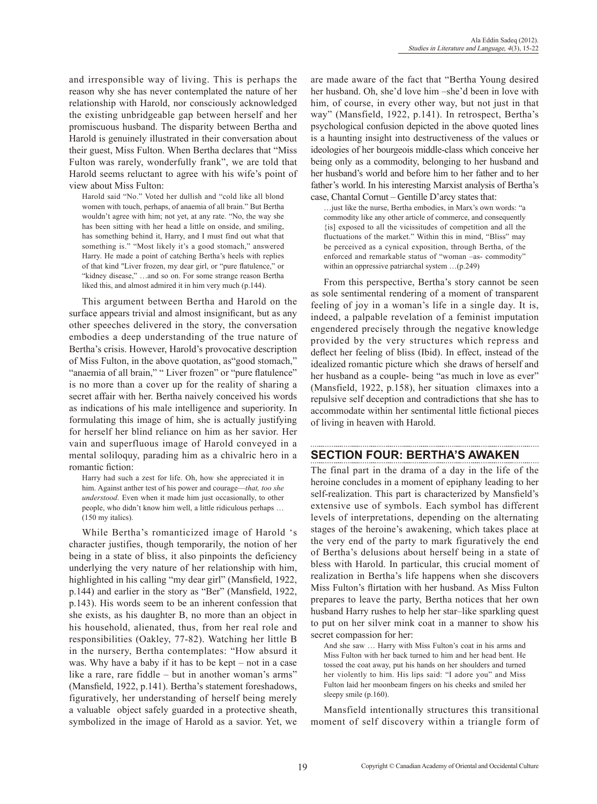and irresponsible way of living. This is perhaps the reason why she has never contemplated the nature of her relationship with Harold, nor consciously acknowledged the existing unbridgeable gap between herself and her promiscuous husband. The disparity between Bertha and Harold is genuinely illustrated in their conversation about their guest, Miss Fulton. When Bertha declares that "Miss Fulton was rarely, wonderfully frank", we are told that Harold seems reluctant to agree with his wife's point of view about Miss Fulton:

Harold said "No." Voted her dullish and "cold like all blond women with touch, perhaps, of anaemia of all brain." But Bertha wouldn't agree with him; not yet, at any rate. "No, the way she has been sitting with her head a little on onside, and smiling, has something behind it, Harry, and I must find out what that something is." "Most likely it's a good stomach," answered Harry. He made a point of catching Bertha's heels with replies of that kind "Liver frozen, my dear girl, or "pure flatulence," or "kidney disease," …and so on. For some strange reason Bertha liked this, and almost admired it in him very much (p.144).

This argument between Bertha and Harold on the surface appears trivial and almost insignificant, but as any other speeches delivered in the story, the conversation embodies a deep understanding of the true nature of Bertha's crisis. However, Harold's provocative description of Miss Fulton, in the above quotation, as"good stomach," "anaemia of all brain," " Liver frozen" or "pure flatulence" is no more than a cover up for the reality of sharing a secret affair with her. Bertha naively conceived his words as indications of his male intelligence and superiority. In formulating this image of him, she is actually justifying for herself her blind reliance on him as her savior. Her vain and superfluous image of Harold conveyed in a mental soliloquy, parading him as a chivalric hero in a romantic fiction:

Harry had such a zest for life. Oh, how she appreciated it in him. Against anther test of his power and courage—*that, too she understood*. Even when it made him just occasionally, to other people, who didn't know him well, a little ridiculous perhaps … (150 my italics).

While Bertha's romanticized image of Harold 's character justifies, though temporarily, the notion of her being in a state of bliss, it also pinpoints the deficiency underlying the very nature of her relationship with him, highlighted in his calling "my dear girl" (Mansfield, 1922, p.144) and earlier in the story as "Ber" (Mansfield, 1922, p.143). His words seem to be an inherent confession that she exists, as his daughter B, no more than an object in his household, alienated, thus, from her real role and responsibilities (Oakley, 77-82). Watching her little B in the nursery, Bertha contemplates: "How absurd it was. Why have a baby if it has to be kept – not in a case like a rare, rare fiddle – but in another woman's arms" (Mansfield, 1922, p.141). Bertha's statement foreshadows, figuratively, her understanding of herself being merely a valuable object safely guarded in a protective sheath, symbolized in the image of Harold as a savior. Yet, we are made aware of the fact that "Bertha Young desired her husband. Oh, she'd love him –she'd been in love with him, of course, in every other way, but not just in that way" (Mansfield, 1922, p.141). In retrospect, Bertha's psychological confusion depicted in the above quoted lines is a haunting insight into destructiveness of the values or ideologies of her bourgeois middle-class which conceive her being only as a commodity, belonging to her husband and her husband's world and before him to her father and to her father's world. In his interesting Marxist analysis of Bertha's case, Chantal Cornut – Gentille D'arcy states that:

…just like the nurse, Bertha embodies, in Marx's own words: "a commodity like any other article of commerce, and consequently {is] exposed to all the vicissitudes of competition and all the fluctuations of the market." Within this in mind, "Bliss" may be perceived as a cynical exposition, through Bertha, of the enforced and remarkable status of "woman –as- commodity" within an oppressive patriarchal system …(p.249)

From this perspective, Bertha's story cannot be seen as sole sentimental rendering of a moment of transparent feeling of joy in a woman's life in a single day. It is, indeed, a palpable revelation of a feminist imputation engendered precisely through the negative knowledge provided by the very structures which repress and deflect her feeling of bliss (Ibid). In effect, instead of the idealized romantic picture which she draws of herself and her husband as a couple- being "as much in love as ever" (Mansfield, 1922, p.158), her situation climaxes into a repulsive self deception and contradictions that she has to accommodate within her sentimental little fictional pieces of living in heaven with Harold.

## **Section Four: Bertha's Awaken**

The final part in the drama of a day in the life of the heroine concludes in a moment of epiphany leading to her self-realization. This part is characterized by Mansfield's extensive use of symbols. Each symbol has different levels of interpretations, depending on the alternating stages of the heroine's awakening, which takes place at the very end of the party to mark figuratively the end of Bertha's delusions about herself being in a state of bless with Harold. In particular, this crucial moment of realization in Bertha's life happens when she discovers Miss Fulton's flirtation with her husband. As Miss Fulton prepares to leave the party, Bertha notices that her own husband Harry rushes to help her star–like sparkling quest to put on her silver mink coat in a manner to show his secret compassion for her:

And she saw … Harry with Miss Fulton's coat in his arms and Miss Fulton with her back turned to him and her head bent. He tossed the coat away, put his hands on her shoulders and turned her violently to him. His lips said: "I adore you" and Miss Fulton laid her moonbeam fingers on his cheeks and smiled her sleepy smile (p.160).

Mansfield intentionally structures this transitional moment of self discovery within a triangle form of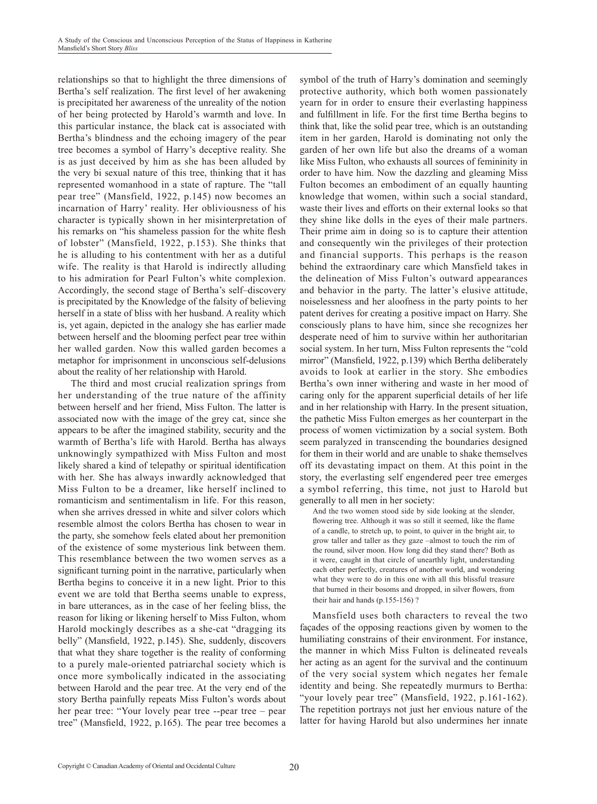relationships so that to highlight the three dimensions of Bertha's self realization. The first level of her awakening is precipitated her awareness of the unreality of the notion of her being protected by Harold's warmth and love. In this particular instance, the black cat is associated with Bertha's blindness and the echoing imagery of the pear tree becomes a symbol of Harry's deceptive reality. She is as just deceived by him as she has been alluded by the very bi sexual nature of this tree, thinking that it has represented womanhood in a state of rapture. The "tall pear tree" (Mansfield, 1922, p.145) now becomes an incarnation of Harry' reality. Her obliviousness of his character is typically shown in her misinterpretation of his remarks on "his shameless passion for the white flesh of lobster" (Mansfield, 1922, p.153). She thinks that he is alluding to his contentment with her as a dutiful wife. The reality is that Harold is indirectly alluding to his admiration for Pearl Fulton's white complexion. Accordingly, the second stage of Bertha's self–discovery is precipitated by the Knowledge of the falsity of believing herself in a state of bliss with her husband. A reality which is, yet again, depicted in the analogy she has earlier made between herself and the blooming perfect pear tree within her walled garden. Now this walled garden becomes a metaphor for imprisonment in unconscious self-delusions about the reality of her relationship with Harold.

The third and most crucial realization springs from her understanding of the true nature of the affinity between herself and her friend, Miss Fulton. The latter is associated now with the image of the grey cat, since she appears to be after the imagined stability, security and the warmth of Bertha's life with Harold. Bertha has always unknowingly sympathized with Miss Fulton and most likely shared a kind of telepathy or spiritual identification with her. She has always inwardly acknowledged that Miss Fulton to be a dreamer, like herself inclined to romanticism and sentimentalism in life. For this reason, when she arrives dressed in white and silver colors which resemble almost the colors Bertha has chosen to wear in the party, she somehow feels elated about her premonition of the existence of some mysterious link between them. This resemblance between the two women serves as a significant turning point in the narrative, particularly when Bertha begins to conceive it in a new light. Prior to this event we are told that Bertha seems unable to express, in bare utterances, as in the case of her feeling bliss, the reason for liking or likening herself to Miss Fulton, whom Harold mockingly describes as a she-cat "dragging its belly" (Mansfield, 1922, p.145). She, suddenly, discovers that what they share together is the reality of conforming to a purely male-oriented patriarchal society which is once more symbolically indicated in the associating between Harold and the pear tree. At the very end of the story Bertha painfully repeats Miss Fulton's words about her pear tree: "Your lovely pear tree --pear tree – pear tree" (Mansfield, 1922, p.165). The pear tree becomes a symbol of the truth of Harry's domination and seemingly protective authority, which both women passionately yearn for in order to ensure their everlasting happiness and fulfillment in life. For the first time Bertha begins to think that, like the solid pear tree, which is an outstanding item in her garden, Harold is dominating not only the garden of her own life but also the dreams of a woman like Miss Fulton, who exhausts all sources of femininity in order to have him. Now the dazzling and gleaming Miss Fulton becomes an embodiment of an equally haunting knowledge that women, within such a social standard, waste their lives and efforts on their external looks so that they shine like dolls in the eyes of their male partners. Their prime aim in doing so is to capture their attention and consequently win the privileges of their protection and financial supports. This perhaps is the reason behind the extraordinary care which Mansfield takes in the delineation of Miss Fulton's outward appearances and behavior in the party. The latter's elusive attitude, noiselessness and her aloofness in the party points to her patent derives for creating a positive impact on Harry. She consciously plans to have him, since she recognizes her desperate need of him to survive within her authoritarian social system. In her turn, Miss Fulton represents the "cold mirror" (Mansfield, 1922, p.139) which Bertha deliberately avoids to look at earlier in the story. She embodies Bertha's own inner withering and waste in her mood of caring only for the apparent superficial details of her life and in her relationship with Harry. In the present situation, the pathetic Miss Fulton emerges as her counterpart in the process of women victimization by a social system. Both seem paralyzed in transcending the boundaries designed for them in their world and are unable to shake themselves off its devastating impact on them. At this point in the story, the everlasting self engendered peer tree emerges a symbol referring, this time, not just to Harold but generally to all men in her society:

And the two women stood side by side looking at the slender, flowering tree. Although it was so still it seemed, like the flame of a candle, to stretch up, to point, to quiver in the bright air, to grow taller and taller as they gaze –almost to touch the rim of the round, silver moon. How long did they stand there? Both as it were, caught in that circle of unearthly light, understanding each other perfectly, creatures of another world, and wondering what they were to do in this one with all this blissful treasure that burned in their bosoms and dropped, in silver flowers, from their hair and hands (p.155-156) ?

Mansfield uses both characters to reveal the two façades of the opposing reactions given by women to the humiliating constrains of their environment. For instance, the manner in which Miss Fulton is delineated reveals her acting as an agent for the survival and the continuum of the very social system which negates her female identity and being. She repeatedly murmurs to Bertha: "your lovely pear tree" (Mansfield, 1922, p.161-162). The repetition portrays not just her envious nature of the latter for having Harold but also undermines her innate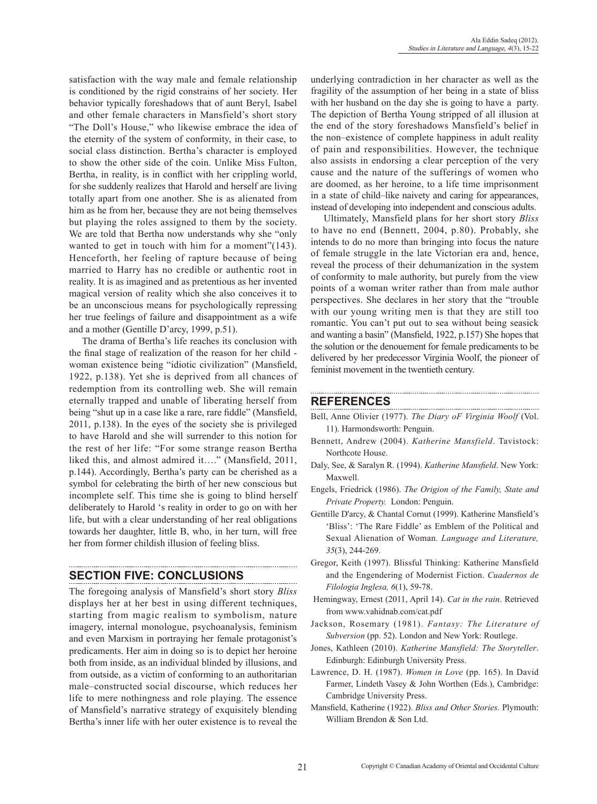satisfaction with the way male and female relationship is conditioned by the rigid constrains of her society. Her behavior typically foreshadows that of aunt Beryl, Isabel and other female characters in Mansfield's short story "The Doll's House," who likewise embrace the idea of the eternity of the system of conformity, in their case, to social class distinction. Bertha's character is employed to show the other side of the coin. Unlike Miss Fulton, Bertha, in reality, is in conflict with her crippling world, for she suddenly realizes that Harold and herself are living totally apart from one another. She is as alienated from him as he from her, because they are not being themselves but playing the roles assigned to them by the society. We are told that Bertha now understands why she "only wanted to get in touch with him for a moment"(143). Henceforth, her feeling of rapture because of being married to Harry has no credible or authentic root in reality. It is as imagined and as pretentious as her invented magical version of reality which she also conceives it to be an unconscious means for psychologically repressing her true feelings of failure and disappointment as a wife and a mother (Gentille D'arcy, 1999, p.51).

The drama of Bertha's life reaches its conclusion with the final stage of realization of the reason for her child woman existence being "idiotic civilization" (Mansfield, 1922, p.138). Yet she is deprived from all chances of redemption from its controlling web. She will remain eternally trapped and unable of liberating herself from being "shut up in a case like a rare, rare fiddle" (Mansfield, 2011, p.138). In the eyes of the society she is privileged to have Harold and she will surrender to this notion for the rest of her life: "For some strange reason Bertha liked this, and almost admired it…." (Mansfield, 2011, p.144). Accordingly, Bertha's party can be cherished as a symbol for celebrating the birth of her new conscious but incomplete self. This time she is going to blind herself deliberately to Harold 's reality in order to go on with her life, but with a clear understanding of her real obligations towards her daughter, little B, who, in her turn, will free her from former childish illusion of feeling bliss.

# **Section five: Conclusions**

The foregoing analysis of Mansfield's short story *Bliss* displays her at her best in using different techniques, starting from magic realism to symbolism, nature imagery, internal monologue, psychoanalysis, feminism and even Marxism in portraying her female protagonist's predicaments. Her aim in doing so is to depict her heroine both from inside, as an individual blinded by illusions, and from outside, as a victim of conforming to an authoritarian male–constructed social discourse, which reduces her life to mere nothingness and role playing. The essence of Mansfield's narrative strategy of exquisitely blending Bertha's inner life with her outer existence is to reveal the underlying contradiction in her character as well as the fragility of the assumption of her being in a state of bliss with her husband on the day she is going to have a party. The depiction of Bertha Young stripped of all illusion at the end of the story foreshadows Mansfield's belief in the non–existence of complete happiness in adult reality of pain and responsibilities. However, the technique also assists in endorsing a clear perception of the very cause and the nature of the sufferings of women who are doomed, as her heroine, to a life time imprisonment in a state of child–like naivety and caring for appearances, instead of developing into independent and conscious adults.

Ultimately, Mansfield plans for her short story *Bliss* to have no end (Bennett, 2004, p.80). Probably, she intends to do no more than bringing into focus the nature of female struggle in the late Victorian era and, hence, reveal the process of their dehumanization in the system of conformity to male authority, but purely from the view points of a woman writer rather than from male author perspectives. She declares in her story that the "trouble with our young writing men is that they are still too romantic. You can't put out to sea without being seasick and wanting a basin" (Mansfield, 1922, p.157) She hopes that the solution or the denouement for female predicaments to be delivered by her predecessor Virginia Woolf, the pioneer of feminist movement in the twentieth century.

### **References**

Bell, Anne Olivier (1977). *The Diary oF Virginia Woolf* (Vol. 11). Harmondsworth: Penguin.

-----------------------

- Bennett, Andrew (2004). *Katherine Mansfield*. Tavistock: Northcote House.
- Daly, See, & Saralyn R. (1994). *Katherine Mansfield*. New York: Maxwell.
- Engels, Friedrick (1986). *The Origion of the Family, State and Private Property.* London: Penguin.
- Gentille D'arcy, & Chantal Cornut (1999). Katherine Mansfield's 'Bliss': 'The Rare Fiddle' as Emblem of the Political and Sexual Alienation of Woman. *Language and Literature, 35*(3), 244-269.
- Gregor, Keith (1997). Blissful Thinking: Katherine Mansfield and the Engendering of Modernist Fiction. *Cuadernos de Filologia Inglesa, 6*(1), 59-78.
- Hemingway, Ernest (2011, April 14). *Cat in the rain*. Retrieved from www.vahidnab.com/cat.pdf
- Jackson, Rosemary (1981). *Fantasy: The Literature of Subversion* (pp. 52). London and New York: Routlege.
- Jones, Kathleen (2010). *Katherine Mansfield: The Storyteller*. Edinburgh: Edinburgh University Press.
- Lawrence, D. H. (1987). *Women in Love* (pp. 165). In David Farmer, Lindeth Vasey & John Worthen (Eds.), Cambridge: Cambridge University Press.
- Mansfield, Katherine (1922). *Bliss and Other Stories*. Plymouth: William Brendon & Son Ltd.